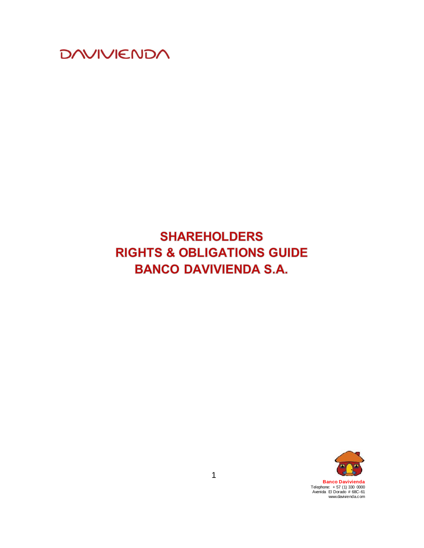

# **SHAREHOLDERS RIGHTS & OBLIGATIONS GUIDE BANCO DAVIVIENDA S.A.**



**Banco Davivienda** Telephone: + 57 (1) 330 0000 Avenida El Dorado # 68C -61 www.davivienda.com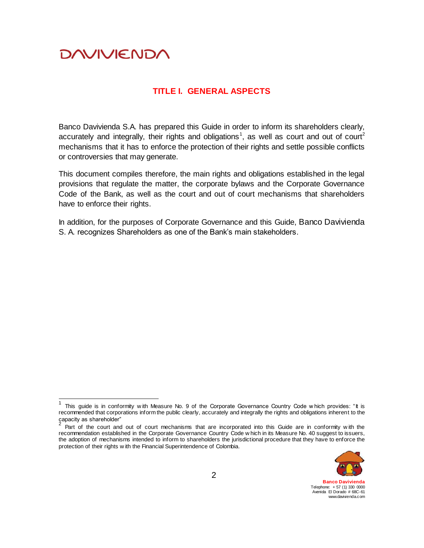$\overline{1}$ 

#### **TITLE I. GENERAL ASPECTS**

Banco Davivienda S.A. has prepared this Guide in order to inform its shareholders clearly, accurately and integrally, their rights and obligations<sup>1</sup>, as well as court and out of court<sup>2</sup> mechanisms that it has to enforce the protection of their rights and settle possible conflicts or controversies that may generate.

This document compiles therefore, the main rights and obligations established in the legal provisions that regulate the matter, the corporate bylaws and the Corporate Governance Code of the Bank, as well as the court and out of court mechanisms that shareholders have to enforce their rights.

In addition, for the purposes of Corporate Governance and this Guide, Banco Davivienda S. A. recognizes Shareholders as one of the Bank's main stakeholders.

Part of the court and out of court mechanisms that are incorporated into this Guide are in conformity with the recommendation established in the Corporate Governance Country Code w hich in its Measure No. 40 suggest to issuers, the adoption of mechanisms intended to inform to shareholders the jurisdictional procedure that they have to enforce the protection of their rights w ith the Financial Superintendence of Colombia.



**Banco Davivienda** Telephone: + 57 (1) 330 0000 Avenida El Dorado # 68C-61 www.davivienda.com

<sup>1</sup> This guide is in conformity with Measure No. 9 of the Corporate Governance Country Code w hich provides: "It is recommended that corporations inform the public clearly, accurately and integrally the rights and obligations inherent to the capacity as shareholder"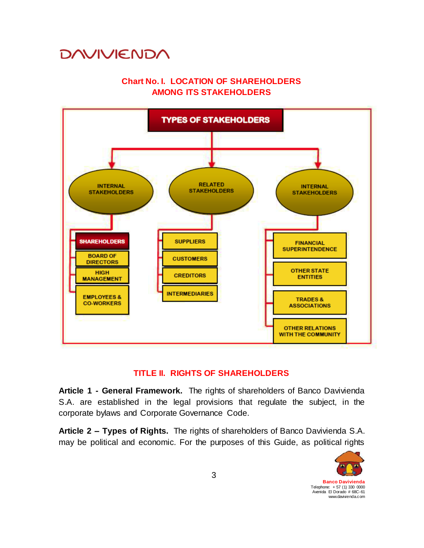#### **Chart No. I. LOCATION OF SHAREHOLDERS AMONG ITS STAKEHOLDERS**



#### **TITLE II. RIGHTS OF SHAREHOLDERS**

**Article 1 - General Framework.** The rights of shareholders of Banco Davivienda S.A. are established in the legal provisions that regulate the subject, in the corporate bylaws and Corporate Governance Code.

**Article 2 – Types of Rights.** The rights of shareholders of Banco Davivienda S.A. may be political and economic. For the purposes of this Guide, as political rights

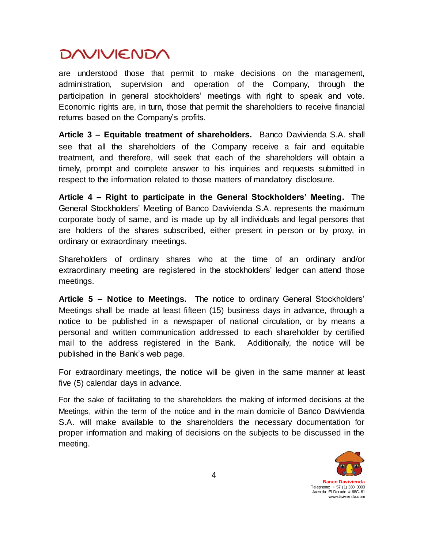are understood those that permit to make decisions on the management, administration, supervision and operation of the Company, through the participation in general stockholders' meetings with right to speak and vote. Economic rights are, in turn, those that permit the shareholders to receive financial returns based on the Company's profits.

**Article 3 – Equitable treatment of shareholders.** Banco Davivienda S.A. shall see that all the shareholders of the Company receive a fair and equitable treatment, and therefore, will seek that each of the shareholders will obtain a timely, prompt and complete answer to his inquiries and requests submitted in respect to the information related to those matters of mandatory disclosure.

**Article 4 – Right to participate in the General Stockholders' Meeting.** The General Stockholders' Meeting of Banco Davivienda S.A. represents the maximum corporate body of same, and is made up by all individuals and legal persons that are holders of the shares subscribed, either present in person or by proxy, in ordinary or extraordinary meetings.

Shareholders of ordinary shares who at the time of an ordinary and/or extraordinary meeting are registered in the stockholders' ledger can attend those meetings.

**Article 5 – Notice to Meetings.** The notice to ordinary General Stockholders' Meetings shall be made at least fifteen (15) business days in advance, through a notice to be published in a newspaper of national circulation, or by means a personal and written communication addressed to each shareholder by certified mail to the address registered in the Bank. Additionally, the notice will be published in the Bank's web page.

For extraordinary meetings, the notice will be given in the same manner at least five (5) calendar days in advance.

For the sake of facilitating to the shareholders the making of informed decisions at the Meetings, within the term of the notice and in the main domicile of Banco Davivienda S.A. will make available to the shareholders the necessary documentation for proper information and making of decisions on the subjects to be discussed in the meeting.

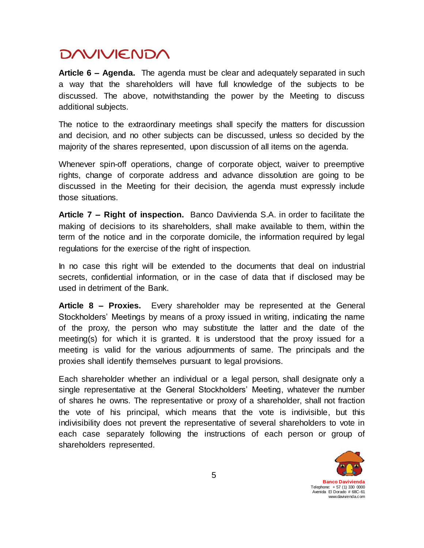**Article 6 – Agenda.** The agenda must be clear and adequately separated in such a way that the shareholders will have full knowledge of the subjects to be discussed. The above, notwithstanding the power by the Meeting to discuss additional subjects.

The notice to the extraordinary meetings shall specify the matters for discussion and decision, and no other subjects can be discussed, unless so decided by the majority of the shares represented, upon discussion of all items on the agenda.

Whenever spin-off operations, change of corporate object, waiver to preemptive rights, change of corporate address and advance dissolution are going to be discussed in the Meeting for their decision, the agenda must expressly include those situations.

**Article 7 – Right of inspection.** Banco Davivienda S.A. in order to facilitate the making of decisions to its shareholders, shall make available to them, within the term of the notice and in the corporate domicile, the information required by legal regulations for the exercise of the right of inspection.

In no case this right will be extended to the documents that deal on industrial secrets, confidential information, or in the case of data that if disclosed may be used in detriment of the Bank.

**Article 8 – Proxies.** Every shareholder may be represented at the General Stockholders' Meetings by means of a proxy issued in writing, indicating the name of the proxy, the person who may substitute the latter and the date of the meeting(s) for which it is granted. It is understood that the proxy issued for a meeting is valid for the various adjournments of same. The principals and the proxies shall identify themselves pursuant to legal provisions.

Each shareholder whether an individual or a legal person, shall designate only a single representative at the General Stockholders' Meeting, whatever the number of shares he owns. The representative or proxy of a shareholder, shall not fraction the vote of his principal, which means that the vote is indivisible, but this indivisibility does not prevent the representative of several shareholders to vote in each case separately following the instructions of each person or group of shareholders represented.

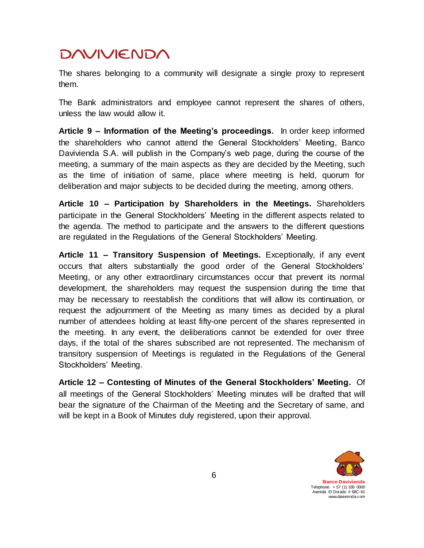The shares belonging to a community will designate a single proxy to represent them.

The Bank administrators and employee cannot represent the shares of others, unless the law would allow it.

**Article 9 – Information of the Meeting's proceedings.** In order keep informed the shareholders who cannot attend the General Stockholders' Meeting, Banco Davivienda S.A. will publish in the Company's web page, during the course of the meeting, a summary of the main aspects as they are decided by the Meeting, such as the time of initiation of same, place where meeting is held, quorum for deliberation and major subjects to be decided during the meeting, among others.

**Article 10 – Participation by Shareholders in the Meetings.** Shareholders participate in the General Stockholders' Meeting in the different aspects related to the agenda. The method to participate and the answers to the different questions are regulated in the Regulations of the General Stockholders' Meeting.

**Article 11 – Transitory Suspension of Meetings.** Exceptionally, if any event occurs that alters substantially the good order of the General Stockholders' Meeting, or any other extraordinary circumstances occur that prevent its normal development, the shareholders may request the suspension during the time that may be necessary to reestablish the conditions that will allow its continuation, or request the adjournment of the Meeting as many times as decided by a plural number of attendees holding at least fifty-one percent of the shares represented in the meeting. In any event, the deliberations cannot be extended for over three days, if the total of the shares subscribed are not represented. The mechanism of transitory suspension of Meetings is regulated in the Regulations of the General Stockholders' Meeting.

**Article 12 – Contesting of Minutes of the General Stockholders' Meeting.** Of all meetings of the General Stockholders' Meeting minutes will be drafted that will bear the signature of the Chairman of the Meeting and the Secretary of same, and will be kept in a Book of Minutes duly registered, upon their approval.

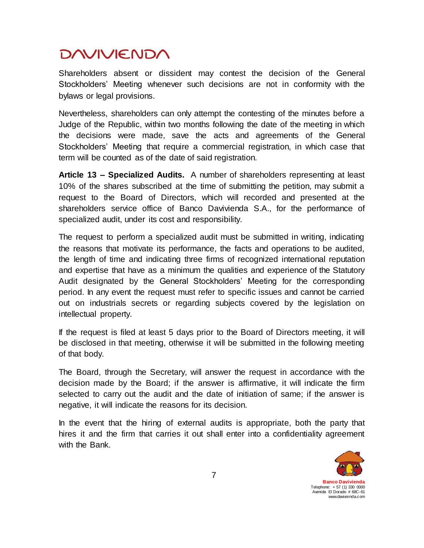Shareholders absent or dissident may contest the decision of the General Stockholders' Meeting whenever such decisions are not in conformity with the bylaws or legal provisions.

Nevertheless, shareholders can only attempt the contesting of the minutes before a Judge of the Republic, within two months following the date of the meeting in which the decisions were made, save the acts and agreements of the General Stockholders' Meeting that require a commercial registration, in which case that term will be counted as of the date of said registration.

**Article 13 – Specialized Audits.** A number of shareholders representing at least 10% of the shares subscribed at the time of submitting the petition, may submit a request to the Board of Directors, which will recorded and presented at the shareholders service office of Banco Davivienda S.A., for the performance of specialized audit, under its cost and responsibility.

The request to perform a specialized audit must be submitted in writing, indicating the reasons that motivate its performance, the facts and operations to be audited, the length of time and indicating three firms of recognized international reputation and expertise that have as a minimum the qualities and experience of the Statutory Audit designated by the General Stockholders' Meeting for the corresponding period. In any event the request must refer to specific issues and cannot be carried out on industrials secrets or regarding subjects covered by the legislation on intellectual property.

If the request is filed at least 5 days prior to the Board of Directors meeting, it will be disclosed in that meeting, otherwise it will be submitted in the following meeting of that body.

The Board, through the Secretary, will answer the request in accordance with the decision made by the Board; if the answer is affirmative, it will indicate the firm selected to carry out the audit and the date of initiation of same; if the answer is negative, it will indicate the reasons for its decision.

In the event that the hiring of external audits is appropriate, both the party that hires it and the firm that carries it out shall enter into a confidentiality agreement with the Bank.

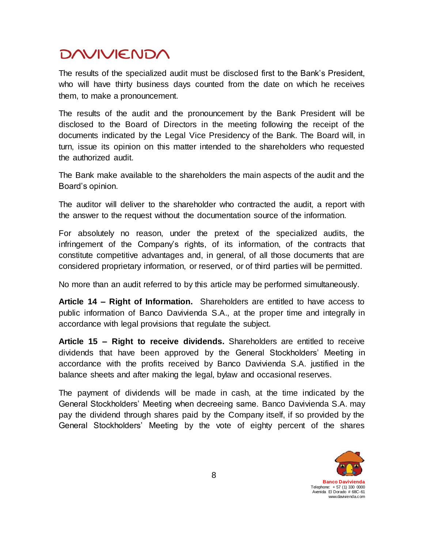The results of the specialized audit must be disclosed first to the Bank's President, who will have thirty business days counted from the date on which he receives them, to make a pronouncement.

The results of the audit and the pronouncement by the Bank President will be disclosed to the Board of Directors in the meeting following the receipt of the documents indicated by the Legal Vice Presidency of the Bank. The Board will, in turn, issue its opinion on this matter intended to the shareholders who requested the authorized audit.

The Bank make available to the shareholders the main aspects of the audit and the Board's opinion.

The auditor will deliver to the shareholder who contracted the audit, a report with the answer to the request without the documentation source of the information.

For absolutely no reason, under the pretext of the specialized audits, the infringement of the Company's rights, of its information, of the contracts that constitute competitive advantages and, in general, of all those documents that are considered proprietary information, or reserved, or of third parties will be permitted.

No more than an audit referred to by this article may be performed simultaneously.

**Article 14 – Right of Information.** Shareholders are entitled to have access to public information of Banco Davivienda S.A., at the proper time and integrally in accordance with legal provisions that regulate the subject.

**Article 15 – Right to receive dividends.** Shareholders are entitled to receive dividends that have been approved by the General Stockholders' Meeting in accordance with the profits received by Banco Davivienda S.A. justified in the balance sheets and after making the legal, bylaw and occasional reserves.

The payment of dividends will be made in cash, at the time indicated by the General Stockholders' Meeting when decreeing same. Banco Davivienda S.A. may pay the dividend through shares paid by the Company itself, if so provided by the General Stockholders' Meeting by the vote of eighty percent of the shares

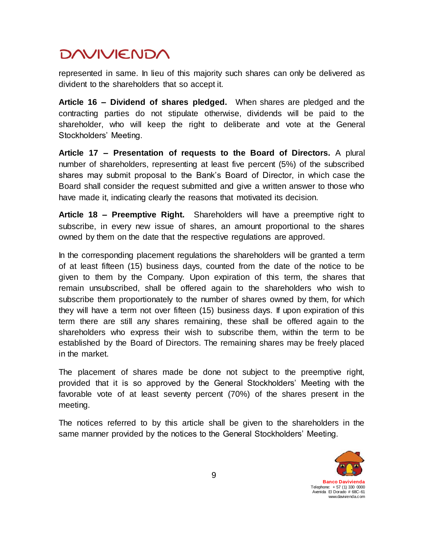represented in same. In lieu of this majority such shares can only be delivered as divident to the shareholders that so accept it.

**Article 16 – Dividend of shares pledged.** When shares are pledged and the contracting parties do not stipulate otherwise, dividends will be paid to the shareholder, who will keep the right to deliberate and vote at the General Stockholders' Meeting.

**Article 17 – Presentation of requests to the Board of Directors.** A plural number of shareholders, representing at least five percent (5%) of the subscribed shares may submit proposal to the Bank's Board of Director, in which case the Board shall consider the request submitted and give a written answer to those who have made it, indicating clearly the reasons that motivated its decision.

**Article 18 – Preemptive Right.** Shareholders will have a preemptive right to subscribe, in every new issue of shares, an amount proportional to the shares owned by them on the date that the respective regulations are approved.

In the corresponding placement regulations the shareholders will be granted a term of at least fifteen (15) business days, counted from the date of the notice to be given to them by the Company. Upon expiration of this term, the shares that remain unsubscribed, shall be offered again to the shareholders who wish to subscribe them proportionately to the number of shares owned by them, for which they will have a term not over fifteen (15) business days. If upon expiration of this term there are still any shares remaining, these shall be offered again to the shareholders who express their wish to subscribe them, within the term to be established by the Board of Directors. The remaining shares may be freely placed in the market.

The placement of shares made be done not subject to the preemptive right, provided that it is so approved by the General Stockholders' Meeting with the favorable vote of at least seventy percent (70%) of the shares present in the meeting.

The notices referred to by this article shall be given to the shareholders in the same manner provided by the notices to the General Stockholders' Meeting.

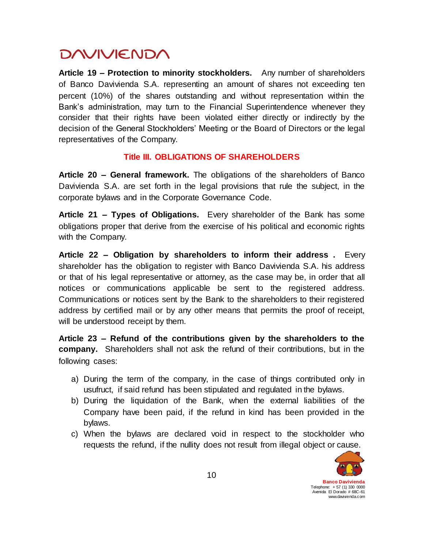**Article 19 – Protection to minority stockholders.** Any number of shareholders of Banco Davivienda S.A. representing an amount of shares not exceeding ten percent (10%) of the shares outstanding and without representation within the Bank's administration, may turn to the Financial Superintendence whenever they consider that their rights have been violated either directly or indirectly by the decision of the General Stockholders' Meeting or the Board of Directors or the legal representatives of the Company.

#### **Title III. OBLIGATIONS OF SHAREHOLDERS**

**Article 20 – General framework.** The obligations of the shareholders of Banco Davivienda S.A. are set forth in the legal provisions that rule the subject, in the corporate bylaws and in the Corporate Governance Code.

**Article 21 – Types of Obligations.** Every shareholder of the Bank has some obligations proper that derive from the exercise of his political and economic rights with the Company.

**Article 22 – Obligation by shareholders to inform their address .** Every shareholder has the obligation to register with Banco Davivienda S.A. his address or that of his legal representative or attorney, as the case may be, in order that all notices or communications applicable be sent to the registered address. Communications or notices sent by the Bank to the shareholders to their registered address by certified mail or by any other means that permits the proof of receipt, will be understood receipt by them.

**Article 23 – Refund of the contributions given by the shareholders to the company.** Shareholders shall not ask the refund of their contributions, but in the following cases:

- a) During the term of the company, in the case of things contributed only in usufruct, if said refund has been stipulated and regulated in the bylaws.
- b) During the liquidation of the Bank, when the external liabilities of the Company have been paid, if the refund in kind has been provided in the bylaws.
- c) When the bylaws are declared void in respect to the stockholder who requests the refund, if the nullity does not result from illegal object or cause.

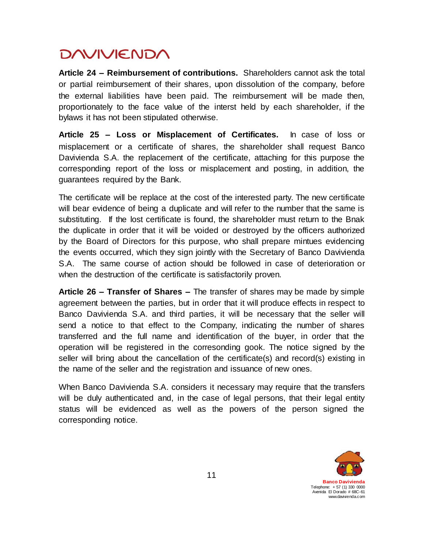**Article 24 – Reimbursement of contributions.** Shareholders cannot ask the total or partial reimbursement of their shares, upon dissolution of the company, before the external liabilities have been paid. The reimbursement will be made then, proportionately to the face value of the interst held by each shareholder, if the bylaws it has not been stipulated otherwise.

**Article 25 – Loss or Misplacement of Certificates.** In case of loss or misplacement or a certificate of shares, the shareholder shall request Banco Davivienda S.A. the replacement of the certificate, attaching for this purpose the corresponding report of the loss or misplacement and posting, in addition, the guarantees required by the Bank.

The certificate will be replace at the cost of the interested party. The new certificate will bear evidence of being a duplicate and will refer to the number that the same is substituting. If the lost certificate is found, the shareholder must return to the Bnak the duplicate in order that it will be voided or destroyed by the officers authorized by the Board of Directors for this purpose, who shall prepare mintues evidencing the events occurred, which they sign jointly with the Secretary of Banco Davivienda S.A. The same course of action should be followed in case of deterioration or when the destruction of the certificate is satisfactorily proven.

**Article 26 – Transfer of Shares –** The transfer of shares may be made by simple agreement between the parties, but in order that it will produce effects in respect to Banco Davivienda S.A. and third parties, it will be necessary that the seller will send a notice to that effect to the Company, indicating the number of shares transferred and the full name and identification of the buyer, in order that the operation will be registered in the corresonding gook. The notice signed by the seller will bring about the cancellation of the certificate(s) and record(s) existing in the name of the seller and the registration and issuance of new ones.

When Banco Davivienda S.A. considers it necessary may require that the transfers will be duly authenticated and, in the case of legal persons, that their legal entity status will be evidenced as well as the powers of the person signed the corresponding notice.

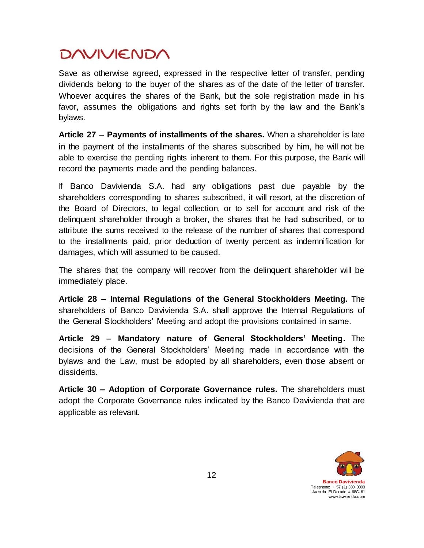Save as otherwise agreed, expressed in the respective letter of transfer, pending dividends belong to the buyer of the shares as of the date of the letter of transfer. Whoever acquires the shares of the Bank, but the sole registration made in his favor, assumes the obligations and rights set forth by the law and the Bank's bylaws.

**Article 27 – Payments of installments of the shares.** When a shareholder is late in the payment of the installments of the shares subscribed by him, he will not be able to exercise the pending rights inherent to them. For this purpose, the Bank will record the payments made and the pending balances.

If Banco Davivienda S.A. had any obligations past due payable by the shareholders corresponding to shares subscribed, it will resort, at the discretion of the Board of Directors, to legal collection, or to sell for account and risk of the delinquent shareholder through a broker, the shares that he had subscribed, or to attribute the sums received to the release of the number of shares that correspond to the installments paid, prior deduction of twenty percent as indemnification for damages, which will assumed to be caused.

The shares that the company will recover from the delinquent shareholder will be immediately place.

**Article 28 – Internal Regulations of the General Stockholders Meeting.** The shareholders of Banco Davivienda S.A. shall approve the Internal Regulations of the General Stockholders' Meeting and adopt the provisions contained in same.

**Article 29 – Mandatory nature of General Stockholders' Meeting.** The decisions of the General Stockholders' Meeting made in accordance with the bylaws and the Law, must be adopted by all shareholders, even those absent or dissidents.

**Article 30 – Adoption of Corporate Governance rules.** The shareholders must adopt the Corporate Governance rules indicated by the Banco Davivienda that are applicable as relevant.

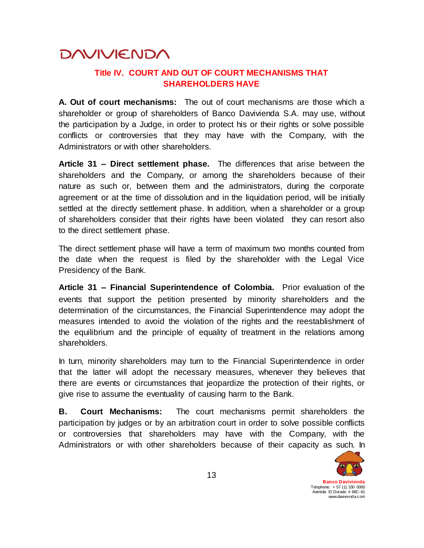#### **Title IV. COURT AND OUT OF COURT MECHANISMS THAT SHAREHOLDERS HAVE**

**A. Out of court mechanisms:** The out of court mechanisms are those which a shareholder or group of shareholders of Banco Davivienda S.A. may use, without the participation by a Judge, in order to protect his or their rights or solve possible conflicts or controversies that they may have with the Company, with the Administrators or with other shareholders.

**Article 31 – Direct settlement phase.** The differences that arise between the shareholders and the Company, or among the shareholders because of their nature as such or, between them and the administrators, during the corporate agreement or at the time of dissolution and in the liquidation period, will be initially settled at the directly settlement phase. In addition, when a shareholder or a group of shareholders consider that their rights have been violated they can resort also to the direct settlement phase.

The direct settlement phase will have a term of maximum two months counted from the date when the request is filed by the shareholder with the Legal Vice Presidency of the Bank.

**Article 31 – Financial Superintendence of Colombia.** Prior evaluation of the events that support the petition presented by minority shareholders and the determination of the circumstances, the Financial Superintendence may adopt the measures intended to avoid the violation of the rights and the reestablishment of the equilibrium and the principle of equality of treatment in the relations among shareholders.

In turn, minority shareholders may turn to the Financial Superintendence in order that the latter will adopt the necessary measures, whenever they believes that there are events or circumstances that jeopardize the protection of their rights, or give rise to assume the eventuality of causing harm to the Bank.

**B. Court Mechanisms:** The court mechanisms permit shareholders the participation by judges or by an arbitration court in order to solve possible conflicts or controversies that shareholders may have with the Company, with the Administrators or with other shareholders because of their capacity as such. In

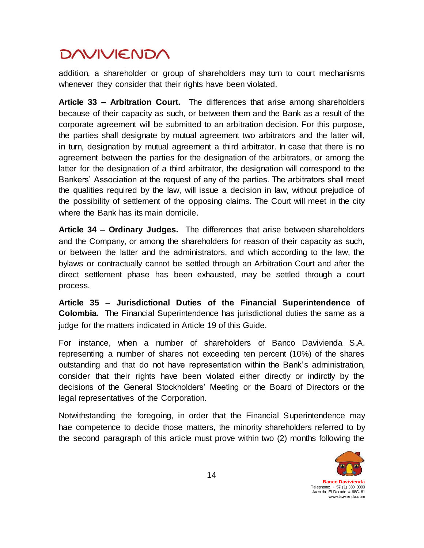addition, a shareholder or group of shareholders may turn to court mechanisms whenever they consider that their rights have been violated.

**Article 33 – Arbitration Court.** The differences that arise among shareholders because of their capacity as such, or between them and the Bank as a result of the corporate agreement will be submitted to an arbitration decision. For this purpose, the parties shall designate by mutual agreement two arbitrators and the latter will, in turn, designation by mutual agreement a third arbitrator. In case that there is no agreement between the parties for the designation of the arbitrators, or among the latter for the designation of a third arbitrator, the designation will correspond to the Bankers' Association at the request of any of the parties. The arbitrators shall meet the qualities required by the law, will issue a decision in law, without prejudice of the possibility of settlement of the opposing claims. The Court will meet in the city where the Bank has its main domicile.

**Article 34 – Ordinary Judges.** The differences that arise between shareholders and the Company, or among the shareholders for reason of their capacity as such, or between the latter and the administrators, and which according to the law, the bylaws or contractually cannot be settled through an Arbitration Court and after the direct settlement phase has been exhausted, may be settled through a court process.

**Article 35 – Jurisdictional Duties of the Financial Superintendence of Colombia.** The Financial Superintendence has jurisdictional duties the same as a judge for the matters indicated in Article 19 of this Guide.

For instance, when a number of shareholders of Banco Davivienda S.A. representing a number of shares not exceeding ten percent (10%) of the shares outstanding and that do not have representation within the Bank's administration, consider that their rights have been violated either directly or indirctly by the decisions of the General Stockholders' Meeting or the Board of Directors or the legal representatives of the Corporation.

Notwithstanding the foregoing, in order that the Financial Superintendence may hae competence to decide those matters, the minority shareholders referred to by the second paragraph of this article must prove within two (2) months following the